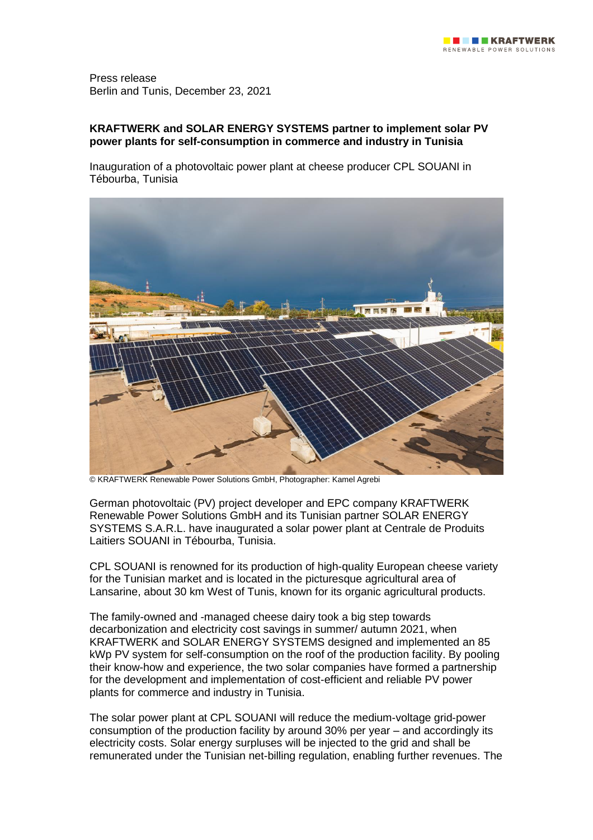Press release Berlin and Tunis, December 23, 2021

# **KRAFTWERK and SOLAR ENERGY SYSTEMS partner to implement solar PV power plants for self-consumption in commerce and industry in Tunisia**

Inauguration of a photovoltaic power plant at cheese producer CPL SOUANI in Tébourba, Tunisia



© KRAFTWERK Renewable Power Solutions GmbH, Photographer: Kamel Agrebi

German photovoltaic (PV) project developer and EPC company KRAFTWERK Renewable Power Solutions GmbH and its Tunisian partner SOLAR ENERGY SYSTEMS S.A.R.L. have inaugurated a solar power plant at Centrale de Produits Laitiers SOUANI in Tébourba, Tunisia.

CPL SOUANI is renowned for its production of high-quality European cheese variety for the Tunisian market and is located in the picturesque agricultural area of Lansarine, about 30 km West of Tunis, known for its organic agricultural products.

The family-owned and -managed cheese dairy took a big step towards decarbonization and electricity cost savings in summer/ autumn 2021, when KRAFTWERK and SOLAR ENERGY SYSTEMS designed and implemented an 85 kWp PV system for self-consumption on the roof of the production facility. By pooling their know-how and experience, the two solar companies have formed a partnership for the development and implementation of cost-efficient and reliable PV power plants for commerce and industry in Tunisia.

The solar power plant at CPL SOUANI will reduce the medium-voltage grid-power consumption of the production facility by around 30% per year – and accordingly its electricity costs. Solar energy surpluses will be injected to the grid and shall be remunerated under the Tunisian net-billing regulation, enabling further revenues. The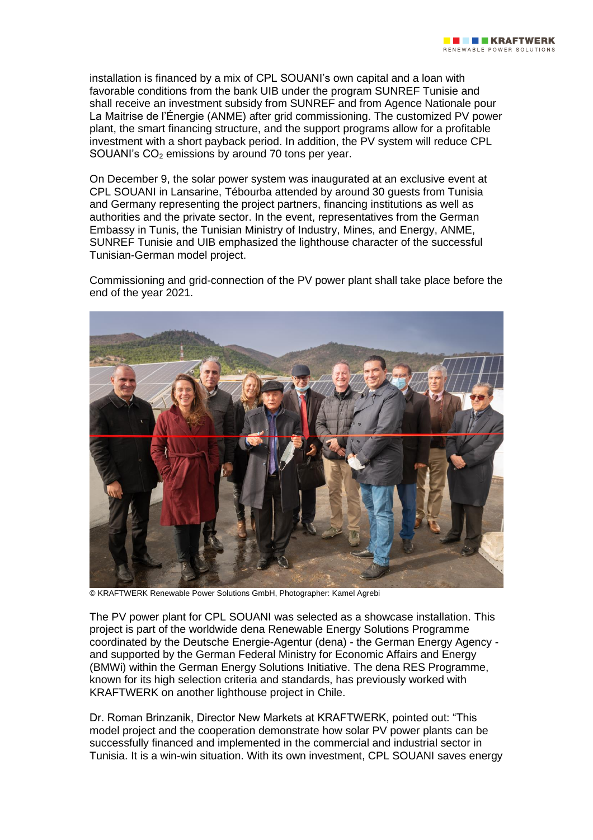installation is financed by a mix of CPL SOUANI's own capital and a loan with favorable conditions from the bank UIB under the program SUNREF Tunisie and shall receive an investment subsidy from SUNREF and from Agence Nationale pour La Maitrise de l'Énergie (ANME) after grid commissioning. The customized PV power plant, the smart financing structure, and the support programs allow for a profitable investment with a short payback period. In addition, the PV system will reduce CPL SOUANI's CO<sup>2</sup> emissions by around 70 tons per year.

On December 9, the solar power system was inaugurated at an exclusive event at CPL SOUANI in Lansarine, Tébourba attended by around 30 guests from Tunisia and Germany representing the project partners, financing institutions as well as authorities and the private sector. In the event, representatives from the German Embassy in Tunis, the Tunisian Ministry of Industry, Mines, and Energy, ANME, SUNREF Tunisie and UIB emphasized the lighthouse character of the successful Tunisian-German model project.

Commissioning and grid-connection of the PV power plant shall take place before the end of the year 2021.



© KRAFTWERK Renewable Power Solutions GmbH, Photographer: Kamel Agrebi

The PV power plant for CPL SOUANI was selected as a showcase installation. This project is part of the worldwide dena Renewable Energy Solutions Programme coordinated by the Deutsche Energie-Agentur (dena) - the German Energy Agency and supported by the German Federal Ministry for Economic Affairs and Energy (BMWi) within the German Energy Solutions Initiative. The dena RES Programme, known for its high selection criteria and standards, has previously worked with KRAFTWERK on another lighthouse project in Chile.

Dr. Roman Brinzanik, Director New Markets at KRAFTWERK, pointed out: "This model project and the cooperation demonstrate how solar PV power plants can be successfully financed and implemented in the commercial and industrial sector in Tunisia. It is a win-win situation. With its own investment, CPL SOUANI saves energy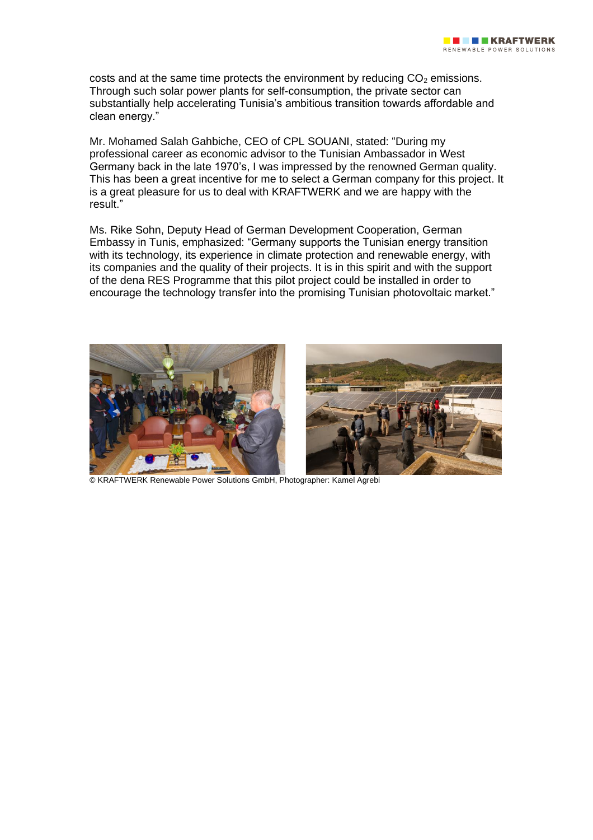costs and at the same time protects the environment by reducing  $CO<sub>2</sub>$  emissions. Through such solar power plants for self-consumption, the private sector can substantially help accelerating Tunisia's ambitious transition towards affordable and clean energy."

Mr. Mohamed Salah Gahbiche, CEO of CPL SOUANI, stated: "During my professional career as economic advisor to the Tunisian Ambassador in West Germany back in the late 1970's, I was impressed by the renowned German quality. This has been a great incentive for me to select a German company for this project. It is a great pleasure for us to deal with KRAFTWERK and we are happy with the result."

Ms. Rike Sohn, Deputy Head of German Development Cooperation, German Embassy in Tunis, emphasized: "Germany supports the Tunisian energy transition with its technology, its experience in climate protection and renewable energy, with its companies and the quality of their projects. It is in this spirit and with the support of the dena RES Programme that this pilot project could be installed in order to encourage the technology transfer into the promising Tunisian photovoltaic market."



© KRAFTWERK Renewable Power Solutions GmbH, Photographer: Kamel Agrebi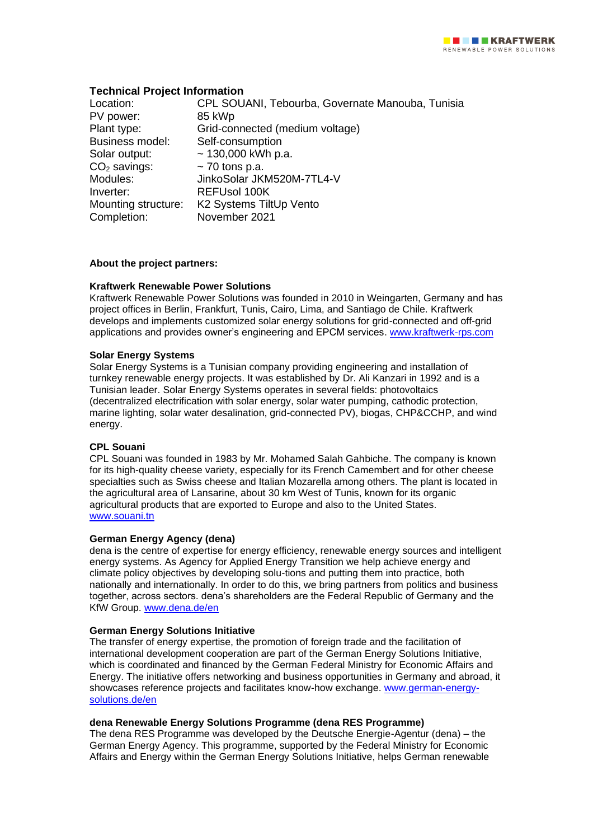## **Technical Project Information**

| Location:              | CPL SOUANI, Tebourba, Governate Manouba, Tunisia |
|------------------------|--------------------------------------------------|
| PV power:              | 85 kWp                                           |
| Plant type:            | Grid-connected (medium voltage)                  |
| <b>Business model:</b> | Self-consumption                                 |
| Solar output:          | $\sim$ 130,000 kWh p.a.                          |
| $CO2$ savings:         | $\sim$ 70 tons p.a.                              |
| Modules:               | JinkoSolar JKM520M-7TL4-V                        |
| Inverter:              | <b>REFUsol 100K</b>                              |
| Mounting structure:    | K2 Systems TiltUp Vento                          |
| Completion:            | November 2021                                    |

## **About the project partners:**

## **Kraftwerk Renewable Power Solutions**

Kraftwerk Renewable Power Solutions was founded in 2010 in Weingarten, Germany and has project offices in Berlin, Frankfurt, Tunis, Cairo, Lima, and Santiago de Chile. Kraftwerk develops and implements customized solar energy solutions for grid-connected and off-grid applications and provides owner's engineering and EPCM services. [www.kraftwerk-rps.com](http://www.kraftwerk-rps.com/)

#### **Solar Energy Systems**

Solar Energy Systems is a Tunisian company providing engineering and installation of turnkey renewable energy projects. It was established by Dr. Ali Kanzari in 1992 and is a Tunisian leader. Solar Energy Systems operates in several fields: photovoltaics (decentralized electrification with solar energy, solar water pumping, cathodic protection, marine lighting, solar water desalination, grid-connected PV), biogas, CHP&CCHP, and wind energy.

#### **CPL Souani**

CPL Souani was founded in 1983 by Mr. Mohamed Salah Gahbiche. The company is known for its high-quality cheese variety, especially for its French Camembert and for other cheese specialties such as Swiss cheese and Italian Mozarella among others. The plant is located in the agricultural area of Lansarine, about 30 km West of Tunis, known for its organic agricultural products that are exported to Europe and also to the United States. [www.souani.tn](http://www.souani.tn/)

#### **German Energy Agency (dena)**

dena is the centre of expertise for energy efficiency, renewable energy sources and intelligent energy systems. As Agency for Applied Energy Transition we help achieve energy and climate policy objectives by developing solu-tions and putting them into practice, both nationally and internationally. In order to do this, we bring partners from politics and business together, across sectors. dena's shareholders are the Federal Republic of Germany and the KfW Group. [www.dena.de/en](http://www.dena.de/en)

#### **German Energy Solutions Initiative**

The transfer of energy expertise, the promotion of foreign trade and the facilitation of international development cooperation are part of the German Energy Solutions Initiative, which is coordinated and financed by the German Federal Ministry for Economic Affairs and Energy. The initiative offers networking and business opportunities in Germany and abroad, it showcases reference projects and facilitates know-how exchange. [www.german-energy](http://www.german-energy-solutions.de/en)[solutions.de/en](http://www.german-energy-solutions.de/en)

#### **dena Renewable Energy Solutions Programme (dena RES Programme)**

The dena RES Programme was developed by the Deutsche Energie-Agentur (dena) – the German Energy Agency. This programme, supported by the Federal Ministry for Economic Affairs and Energy within the German Energy Solutions Initiative, helps German renewable